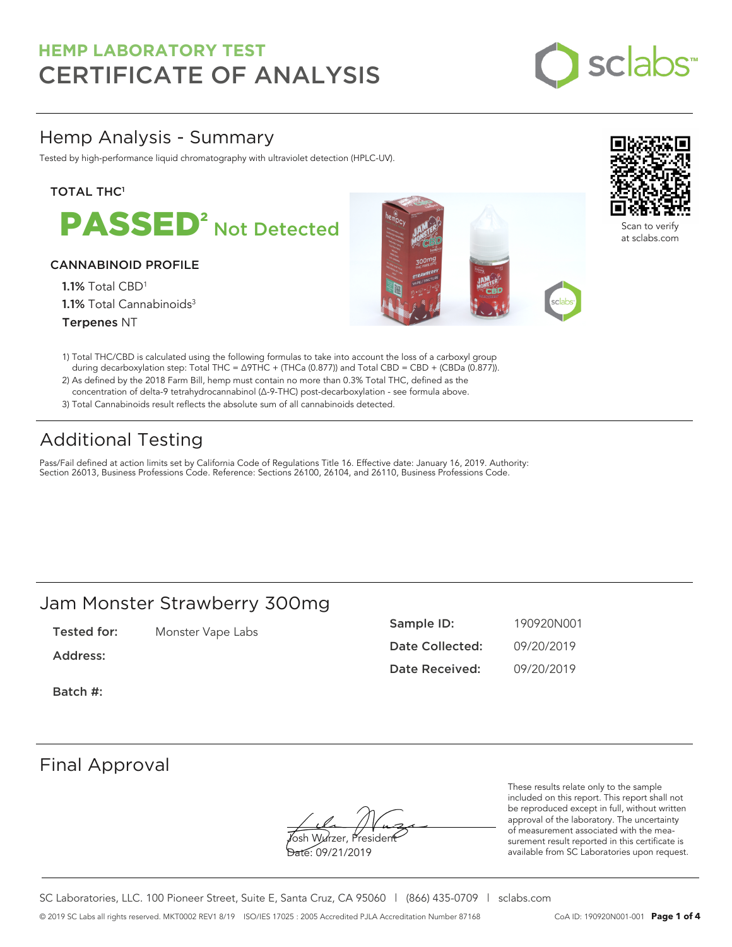

# Hemp Analysis - Summary

Tested by high-performance liquid chromatography with ultraviolet detection (HPLC-UV).

## **TOTAL THC1**

PASSED<sup>2</sup> Not Detected

### CANNABINOID PROFILE

1.1% Total CBD<sup>1</sup> 1.1% Total Cannabinoids<sup>3</sup> Terpenes NT





Scan to verify at sclabs.com

- 1) Total THC/CBD is calculated using the following formulas to take into account the loss of a carboxyl group during decarboxylation step: Total THC = ∆9THC + (THCa (0.877)) and Total CBD = CBD + (CBDa (0.877)).
- 2) As defined by the 2018 Farm Bill, hemp must contain no more than 0.3% Total THC, defined as the concentration of delta-9 tetrahydrocannabinol (Δ-9-THC) post-decarboxylation - see formula above.
- 3) Total Cannabinoids result reflects the absolute sum of all cannabinoids detected.

# Additional Testing

Pass/Fail defined at action limits set by California Code of Regulations Title 16. Effective date: January 16, 2019. Authority: Section 26013, Business Professions Code. Reference: Sections 26100, 26104, and 26110, Business Professions Code.

# Jam Monster Strawberry 300mg

Tested for: Monster Vape Labs

Address:

Sample ID: 190920N001 Date Collected: 09/20/2019 Date Received: 09/20/2019

Batch #:

# Final Approval

**J**osh Wurzer, Presiden<del>t</del> Date: 09/21/2019

These results relate only to the sample included on this report. This report shall not be reproduced except in full, without written approval of the laboratory. The uncertainty of measurement associated with the measurement result reported in this certificate is available from SC Laboratories upon request.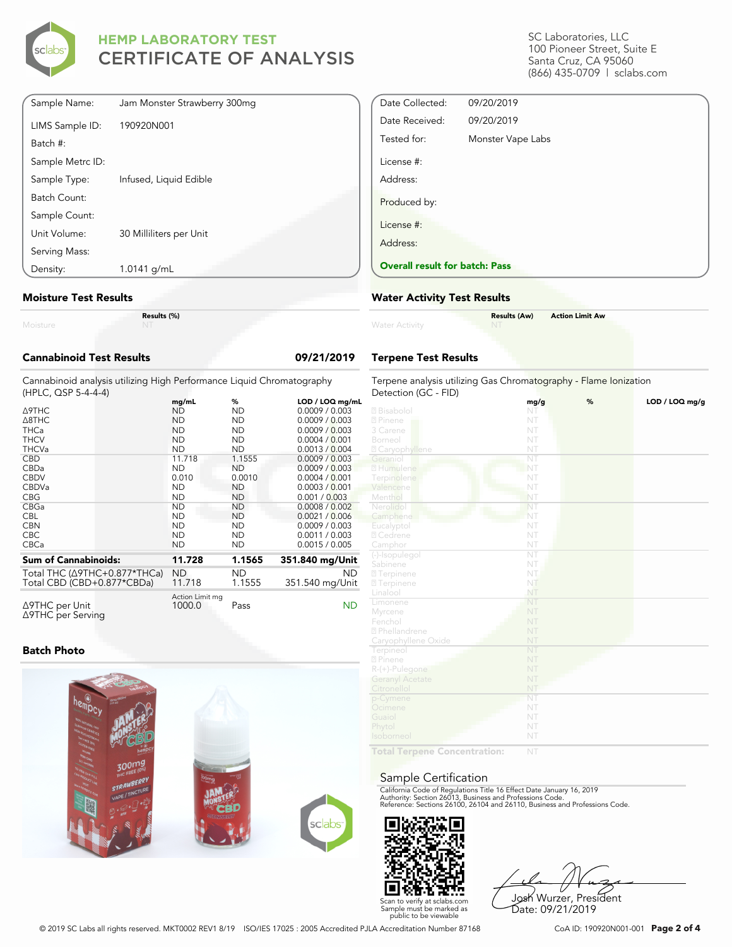

| Sample Name:     | Jam Monster Strawberry 300mg |
|------------------|------------------------------|
| LIMS Sample ID:  | 190920N001                   |
| Batch #:         |                              |
| Sample Metrc ID: |                              |
| Sample Type:     | Infused, Liquid Edible       |
| Batch Count:     |                              |
| Sample Count:    |                              |
| Unit Volume:     | 30 Milliliters per Unit      |
| Serving Mass:    |                              |
| Density:         | 1.0141 g/mL                  |

#### **Moisture Test Results**

|          | Res |
|----------|-----|
| Moisture |     |

**Results (%)**

| <b>Cannabinoid Test Results</b>                                                              |                                                                     |                                                                      | 09/21/2019                                                                                              |
|----------------------------------------------------------------------------------------------|---------------------------------------------------------------------|----------------------------------------------------------------------|---------------------------------------------------------------------------------------------------------|
| Cannabinoid analysis utilizing High Performance Liquid Chromatography<br>(HPLC, QSP 5-4-4-4) |                                                                     |                                                                      |                                                                                                         |
| <b>A9THC</b><br>A8THC<br><b>THCa</b><br><b>THCV</b>                                          | mq/mL<br><b>ND</b><br><b>ND</b><br><b>ND</b><br><b>ND</b>           | %<br><b>ND</b><br><b>ND</b><br><b>ND</b><br><b>ND</b>                | LOD / LOQ mg/mL<br>0.0009 / 0.003<br>0.0009 / 0.003<br>0.0009 / 0.003<br>0.0004 / 0.001                 |
| <b>THCVa</b><br><b>CBD</b><br>CBDa<br><b>CBDV</b><br>CBDVa<br><b>CBG</b>                     | <b>ND</b><br>11.718<br><b>ND</b><br>0.010<br><b>ND</b><br><b>ND</b> | <b>ND</b><br>1.1555<br><b>ND</b><br>0.0010<br><b>ND</b><br><b>ND</b> | 0.0013 / 0.004<br>0.0009 / 0.003<br>0.0009 / 0.003<br>0.0004 / 0.001<br>0.0003 / 0.001<br>0.001 / 0.003 |
| CBGa<br><b>CBL</b><br><b>CBN</b><br>CBC.<br>CBCa                                             | <b>ND</b><br><b>ND</b><br><b>ND</b><br><b>ND</b><br><b>ND</b>       | <b>ND</b><br><b>ND</b><br><b>ND</b><br><b>ND</b><br><b>ND</b>        | 0.0008 / 0.002<br>0.0021 / 0.006<br>0.0009 / 0.003<br>0.0011 / 0.003<br>0.0015 / 0.005                  |
| <b>Sum of Cannabinoids:</b>                                                                  | 11.728                                                              | 1.1565                                                               | 351.840 mg/Unit                                                                                         |
| Total THC (∆9THC+0.877*THCa)<br>Total CBD (CBD+0.877*CBDa)                                   | <b>ND</b><br>11.718                                                 | <b>ND</b><br>1.1555                                                  | <b>ND</b><br>351.540 mg/Unit                                                                            |
| ∆9THC per Unit<br>∆9THC per Serving                                                          | Action Limit mg<br>1000.0                                           | Pass                                                                 | <b>ND</b>                                                                                               |

### **Batch Photo**



SC Laboratories, LLC 100 Pioneer Street, Suite E Santa Cruz, CA 95060 (866) 435-0709 | sclabs.com

| Date Collected:                       | 09/20/2019        |
|---------------------------------------|-------------------|
| Date Received:                        | 09/20/2019        |
| Tested for:                           | Monster Vape Labs |
| License #:                            |                   |
| Address:                              |                   |
| Produced by:                          |                   |
| License #:                            |                   |
| Address:                              |                   |
| <b>Overall result for batch: Pass</b> |                   |

## **Water Activity Test Results**

| <b>Water Activity</b> | <b>Results (Aw)</b><br>NT | <b>Action Limit Aw</b> |
|-----------------------|---------------------------|------------------------|
|                       |                           |                        |

# **Terpene Test Results**

| Terpene analysis utilizing Gas Chromatography - Flame Ionization<br>Detection (GC - FID) |                        |   |                |  |
|------------------------------------------------------------------------------------------|------------------------|---|----------------|--|
|                                                                                          | mg/g                   | % | LOD / LOQ mg/g |  |
| 2 Bisabolol                                                                              | NT                     |   |                |  |
| 2 Pinene                                                                                 | NT                     |   |                |  |
| 3 Carene                                                                                 | NT                     |   |                |  |
| Borneol                                                                                  | NT                     |   |                |  |
| 2 Caryophyllene                                                                          | NT                     |   |                |  |
| Geraniol                                                                                 | $\overline{\text{NT}}$ |   |                |  |
| 2 Humulene                                                                               | NT                     |   |                |  |
| Terpinolene                                                                              | NT                     |   |                |  |
| Valencene                                                                                | NT                     |   |                |  |
| Menthol                                                                                  | NT                     |   |                |  |
| Nerolidol                                                                                | NT                     |   |                |  |
| Camphene                                                                                 | NT                     |   |                |  |
| Eucalyptol                                                                               | NT                     |   |                |  |
| 2 Cedrene                                                                                | NT                     |   |                |  |
| Camphor                                                                                  | NT                     |   |                |  |
| (-)-Isopulegol                                                                           | $\overline{\text{NT}}$ |   |                |  |
| Sabinene                                                                                 | NT                     |   |                |  |
| 2 Terpinene                                                                              | NT.                    |   |                |  |
| 2 Terpinene                                                                              | NT                     |   |                |  |
| Linalool                                                                                 | NT                     |   |                |  |
| Limonene                                                                                 | NT                     |   |                |  |
| Myrcene                                                                                  | NT                     |   |                |  |
| Fenchol                                                                                  | NT                     |   |                |  |
| <sup>2</sup> Phellandrene                                                                | NT                     |   |                |  |
| Caryophyllene Oxide                                                                      | NT                     |   |                |  |
| Terpineol                                                                                | NT                     |   |                |  |
| 2 Pinene                                                                                 | NT                     |   |                |  |
| $R-(+)$ -Pulegone                                                                        | NT                     |   |                |  |
| <b>Geranyl Acetate</b>                                                                   | NT                     |   |                |  |
| Citronellol                                                                              | NT                     |   |                |  |
| p-Cymene                                                                                 | NT                     |   |                |  |
| Ocimene                                                                                  | NT                     |   |                |  |
| Guaiol                                                                                   | NT                     |   |                |  |
| Phytol                                                                                   | NT                     |   |                |  |
| Isoborneol                                                                               | NT                     |   |                |  |
| Total Ternene Concentration:                                                             | NIT                    |   |                |  |

**Total Terpene Concentration:**

#### Sample Certification

California Code of Regulations Title 16 Effect Date January 16, 2019<br>Authority: Section 26013, Business and Professions Code.<br>Reference: Sections 26100, 26104 and 26110, Business and Professions Code.



Josh Wurzer, President Date: 09/21/2019

© 2019 SC Labs all rights reserved. MKT0002 REV1 8/19 ISO/IES 17025 : 2005 Accredited PJLA Accreditation Number 87168 CoA ID: 190920N001-001 **Page 2 of 4**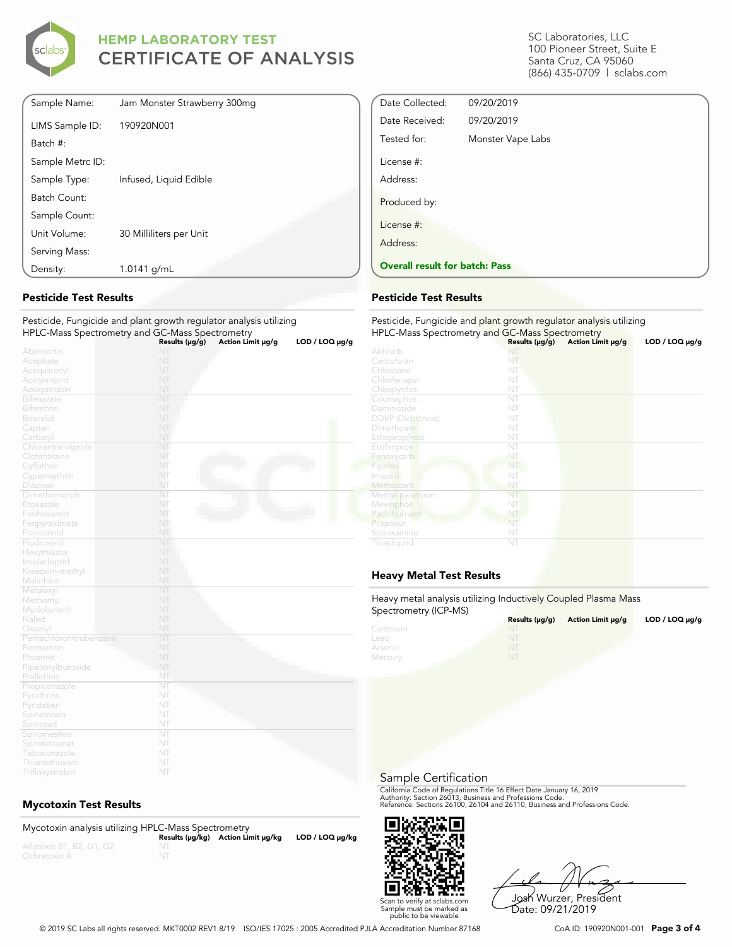

| Sample Name:     | Jam Monster Strawberry 300mg |
|------------------|------------------------------|
| LIMS Sample ID:  | 190920N001                   |
| Batch #:         |                              |
| Sample Metrc ID: |                              |
| Sample Type:     | Infused, Liquid Edible       |
| Batch Count:     |                              |
| Sample Count:    |                              |
| Unit Volume:     | 30 Milliliters per Unit      |
| Serving Mass:    |                              |
| Density:         | 1.0141 g/mL                  |
|                  |                              |

### **Pesticide Test Results**

#### Pesticide, Fungicide and plant growth regulator analysis utilizing HPLC-Mass Spectrometry and GC-Mass Spectrometry

|                         | Results (µg/g) | Action Limit µg/g | LOD / LOO µg/g |
|-------------------------|----------------|-------------------|----------------|
| Abamectin               | NT             |                   |                |
| Acephate                | NT             |                   |                |
| Acequinocyl             | NT             |                   |                |
| Acetamiprid             | NT             |                   |                |
| Azoxystrobin            | NT             |                   |                |
| Bifenazate              | NT             |                   |                |
| Bifenthrin              | NT             |                   |                |
| <b>Boscalid</b>         | NT             |                   |                |
| Captan                  | NT             |                   |                |
| Carbaryl                | NT             |                   |                |
| Chlorantraniliprole     | NT             |                   |                |
| Clofentezine            | NT             |                   |                |
| Cyfluthrin              | NT             |                   |                |
| Cypermethrin            | NT             |                   |                |
| Diazinon                | NT             |                   |                |
| Dimethomorph            | NT             |                   |                |
| Etoxazole               | NT             |                   |                |
| Fenhexamid              | NT             |                   |                |
| Fenpyroximate           | NT             |                   |                |
| Flonicamid              | NT             |                   |                |
| Fludioxonil             | NT             |                   |                |
| Hexythiazox             | NT             |                   |                |
| Imidacloprid            | NT             |                   |                |
| Kresoxim-methyl         | NT             |                   |                |
| Malathion               | NT             |                   |                |
| Metalaxyl               | NT             |                   |                |
| Methomyl                | NT             |                   |                |
| Myclobutanil            | NT             |                   |                |
| Naled                   | NT             |                   |                |
| Oxamyl                  | NT             |                   |                |
| Pentachloronitrobenzene | NT             |                   |                |
| Permethrin              | NT             |                   |                |
| Phosmet                 | NT             |                   |                |
| Piperonylbutoxide       | NT             |                   |                |
| Prallethrin             | NT             |                   |                |
| Propiconazole           | NT             |                   |                |
| Pyrethrins              | NT             |                   |                |
| Pyridaben               | NT             |                   |                |
| Spinetoram              | NT             |                   |                |
| Spinosad                | NT             |                   |                |
| Spiromesifen            | NT             |                   |                |
| Spirotetramat           | NT             |                   |                |
| Tebuconazole            | NT             |                   |                |
| Thiamethoxam            | NT             |                   |                |
| Trifloxystrobin         | NT             |                   |                |

## **Mycotoxin Test Results**

| Mycotoxin analysis utilizing HPLC-Mass Spectrometry |                                    |                      |
|-----------------------------------------------------|------------------------------------|----------------------|
|                                                     | Results (µq/kq) Action Limit µq/kq | $LOD / LOQ \mu g/kg$ |
| Aflatoxin B1, B2, G1, G2                            |                                    |                      |
| Ochratoxin A                                        |                                    |                      |

SC Laboratories, LLC 100 Pioneer Street, Suite E Santa Cruz, CA 95060 (866) 435-0709 | sclabs.com

| Date Collected:                       | 09/20/2019        |  |
|---------------------------------------|-------------------|--|
| Date Received:                        | 09/20/2019        |  |
| Tested for:                           | Monster Vape Labs |  |
| License #:                            |                   |  |
| Address:                              |                   |  |
| Produced by:                          |                   |  |
| License #:                            |                   |  |
| Address:                              |                   |  |
| <b>Overall result for batch: Pass</b> |                   |  |

### **Pesticide Test Results**

| Pesticide, Fungicide and plant growth regulator analysis utilizing<br>HPLC-Mass Spectrometry and GC-Mass Spectrometry |                     |                   |                     |  |
|-----------------------------------------------------------------------------------------------------------------------|---------------------|-------------------|---------------------|--|
|                                                                                                                       | Results $(\mu g/g)$ | Action Limit µg/g | $LOD / LOQ \mu g/g$ |  |
| Aldicarb                                                                                                              | NI                  |                   |                     |  |
| Carbofuran                                                                                                            | NT                  |                   |                     |  |
| Chlordane                                                                                                             | NT                  |                   |                     |  |
| Chlorfenapyr                                                                                                          | NT                  |                   |                     |  |
| Chlorpyrifos                                                                                                          | NT                  |                   |                     |  |
| Coumaphos                                                                                                             | NT                  |                   |                     |  |
| Daminozide                                                                                                            | NT                  |                   |                     |  |
| <b>DDVP</b> (Dichlorvos)                                                                                              | NT                  |                   |                     |  |
| Dimethoate                                                                                                            | NT                  |                   |                     |  |
| Ethoprop(hos)                                                                                                         | NT                  |                   |                     |  |
| Etofenprox                                                                                                            | NT                  |                   |                     |  |
| Fenoxycarb                                                                                                            | NT                  |                   |                     |  |
| Fipronil                                                                                                              | NT                  |                   |                     |  |
| Imazalil                                                                                                              | NT                  |                   |                     |  |
| Methiocarb                                                                                                            | NT                  |                   |                     |  |
| Methyl parathion                                                                                                      | NT                  |                   |                     |  |
| Mevinphos                                                                                                             | NT                  |                   |                     |  |
| Paclobutrazol                                                                                                         | NT                  |                   |                     |  |
| Propoxur                                                                                                              | NT                  |                   |                     |  |
| Spiroxamine                                                                                                           | NT                  |                   |                     |  |
| Thiacloprid                                                                                                           | NT                  |                   |                     |  |

## **Heavy Metal Test Results**

Heavy metal analysis utilizing Inductively Coupled Plasma Mass Spectrometry (ICP-MS)

| <b>ODCCHOTILELY (IOT -IVIO)</b> | Results $(\mu g/g)$ | Action Limit µq/q | LOD / LOQ $\mu$ g/g |
|---------------------------------|---------------------|-------------------|---------------------|
| Cadmium                         | NT                  |                   |                     |
| Lead                            |                     |                   |                     |
| Arsenic                         | NT                  |                   |                     |
| Mercury                         | NT                  |                   |                     |

Sample Certification

California Code of Regulations Title 16 Effect Date January 16, 2019<br>Authority: Section 26013, Business and Professions Code.<br>Reference: Sections 26100, 26104 and 26110, Business and Professions Code.



Josh Wurzer, President Date: 09/21/2019

© 2019 SC Labs all rights reserved. MKT0002 REV1 8/19 ISO/IES 17025 : 2005 Accredited PJLA Accreditation Number 87168 CoA ID: 190920N001-001 **Page 3 of 4**